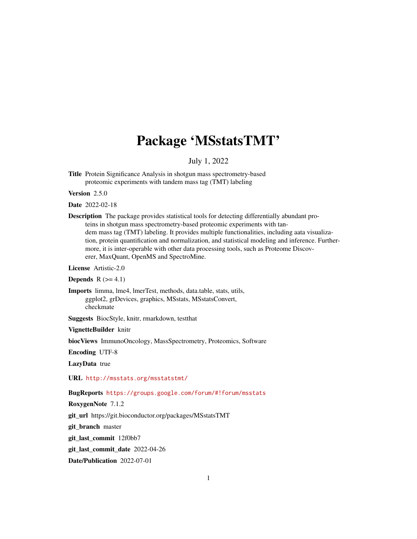# Package 'MSstatsTMT'

July 1, 2022

Title Protein Significance Analysis in shotgun mass spectrometry-based proteomic experiments with tandem mass tag (TMT) labeling

Version 2.5.0

Date 2022-02-18

Description The package provides statistical tools for detecting differentially abundant proteins in shotgun mass spectrometry-based proteomic experiments with tandem mass tag (TMT) labeling. It provides multiple functionalities, including aata visualization, protein quantification and normalization, and statistical modeling and inference. Furthermore, it is inter-operable with other data processing tools, such as Proteome Discoverer, MaxQuant, OpenMS and SpectroMine.

License Artistic-2.0

**Depends**  $R$  ( $>= 4.1$ )

Imports limma, lme4, lmerTest, methods, data.table, stats, utils, ggplot2, grDevices, graphics, MSstats, MSstatsConvert, checkmate

Suggests BiocStyle, knitr, rmarkdown, testthat

VignetteBuilder knitr

biocViews ImmunoOncology, MassSpectrometry, Proteomics, Software

Encoding UTF-8

LazyData true

URL <http://msstats.org/msstatstmt/>

BugReports <https://groups.google.com/forum/#!forum/msstats>

RoxygenNote 7.1.2

git\_url https://git.bioconductor.org/packages/MSstatsTMT

git\_branch master

git\_last\_commit 12f0bb7

git\_last\_commit\_date 2022-04-26

Date/Publication 2022-07-01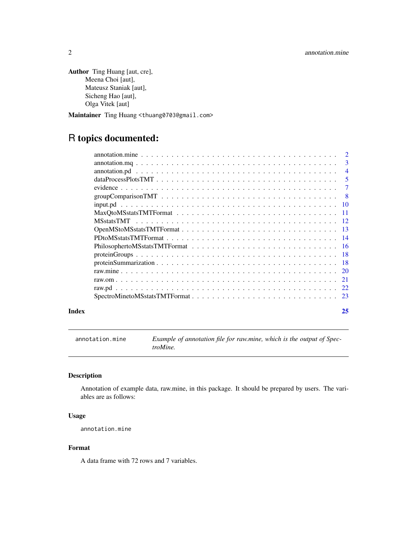```
Author Ting Huang [aut, cre],
     Meena Choi [aut],
     Mateusz Staniak [aut],
     Sicheng Hao [aut],
     Olga Vitek [aut]
```
Maintainer Ting Huang <thuang0703@gmail.com>

## R topics documented:

| 3              |
|----------------|
| $\overline{4}$ |
| 5              |
| $\tau$         |
| - 8            |
|                |
|                |
|                |
|                |
|                |
|                |
|                |
|                |
|                |
| 21             |
| 22             |
|                |
|                |

#### **Index** [25](#page-24-0)

annotation.mine *Example of annotation file for raw.mine, which is the output of SpectroMine.*

#### Description

Annotation of example data, raw.mine, in this package. It should be prepared by users. The variables are as follows:

#### Usage

annotation.mine

#### Format

A data frame with 72 rows and 7 variables.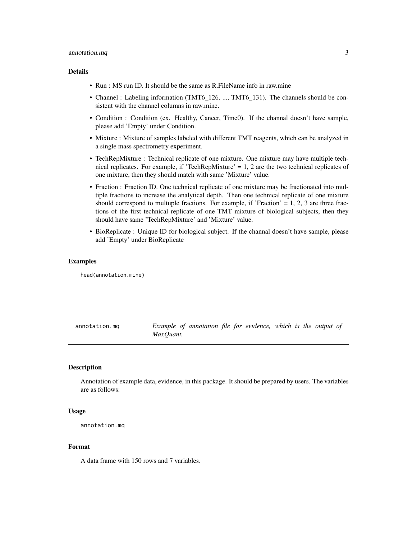#### <span id="page-2-0"></span>annotation.mq 3

#### Details

- Run : MS run ID. It should be the same as R.FileName info in raw.mine
- Channel : Labeling information (TMT6\_126, ..., TMT6\_131). The channels should be consistent with the channel columns in raw.mine.
- Condition : Condition (ex. Healthy, Cancer, Time0). If the channal doesn't have sample, please add 'Empty' under Condition.
- Mixture : Mixture of samples labeled with different TMT reagents, which can be analyzed in a single mass spectrometry experiment.
- TechRepMixture : Technical replicate of one mixture. One mixture may have multiple technical replicates. For example, if 'TechRepMixture'  $= 1, 2$  are the two technical replicates of one mixture, then they should match with same 'Mixture' value.
- Fraction : Fraction ID. One technical replicate of one mixture may be fractionated into multiple fractions to increase the analytical depth. Then one technical replicate of one mixture should correspond to multuple fractions. For example, if 'Fraction'  $= 1, 2, 3$  are three fractions of the first technical replicate of one TMT mixture of biological subjects, then they should have same 'TechRepMixture' and 'Mixture' value.
- BioReplicate : Unique ID for biological subject. If the channal doesn't have sample, please add 'Empty' under BioReplicate

#### Examples

head(annotation.mine)

annotation.mq *Example of annotation file for evidence, which is the output of MaxQuant.*

#### **Description**

Annotation of example data, evidence, in this package. It should be prepared by users. The variables are as follows:

#### Usage

```
annotation.mq
```
#### Format

A data frame with 150 rows and 7 variables.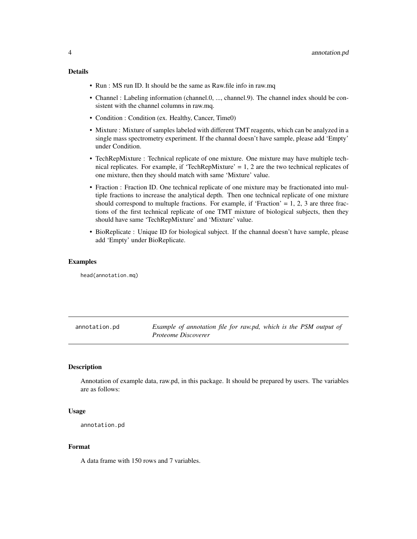#### <span id="page-3-0"></span>Details

- Run : MS run ID. It should be the same as Raw.file info in raw.mq
- Channel : Labeling information (channel.0, ..., channel.9). The channel index should be consistent with the channel columns in raw.mq.
- Condition : Condition (ex. Healthy, Cancer, Time0)
- Mixture : Mixture of samples labeled with different TMT reagents, which can be analyzed in a single mass spectrometry experiment. If the channal doesn't have sample, please add 'Empty' under Condition.
- TechRepMixture : Technical replicate of one mixture. One mixture may have multiple technical replicates. For example, if 'TechRepMixture'  $= 1, 2$  are the two technical replicates of one mixture, then they should match with same 'Mixture' value.
- Fraction : Fraction ID. One technical replicate of one mixture may be fractionated into multiple fractions to increase the analytical depth. Then one technical replicate of one mixture should correspond to multuple fractions. For example, if 'Fraction' =  $1, 2, 3$  are three fractions of the first technical replicate of one TMT mixture of biological subjects, then they should have same 'TechRepMixture' and 'Mixture' value.
- BioReplicate : Unique ID for biological subject. If the channal doesn't have sample, please add 'Empty' under BioReplicate.

#### Examples

head(annotation.mq)

<span id="page-3-1"></span>annotation.pd *Example of annotation file for raw.pd, which is the PSM output of Proteome Discoverer*

#### Description

Annotation of example data, raw.pd, in this package. It should be prepared by users. The variables are as follows:

#### Usage

```
annotation.pd
```
#### Format

A data frame with 150 rows and 7 variables.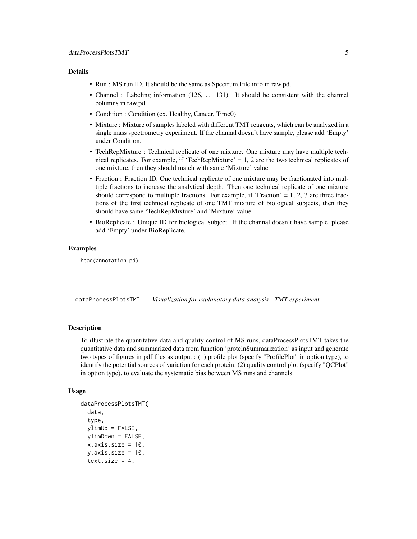#### <span id="page-4-0"></span>Details

- Run : MS run ID. It should be the same as Spectrum.File info in raw.pd.
- Channel : Labeling information (126, ... 131). It should be consistent with the channel columns in raw.pd.
- Condition : Condition (ex. Healthy, Cancer, Time0)
- Mixture : Mixture of samples labeled with different TMT reagents, which can be analyzed in a single mass spectrometry experiment. If the channal doesn't have sample, please add 'Empty' under Condition.
- TechRepMixture : Technical replicate of one mixture. One mixture may have multiple technical replicates. For example, if 'TechRepMixture' = 1, 2 are the two technical replicates of one mixture, then they should match with same 'Mixture' value.
- Fraction : Fraction ID. One technical replicate of one mixture may be fractionated into multiple fractions to increase the analytical depth. Then one technical replicate of one mixture should correspond to multuple fractions. For example, if 'Fraction'  $= 1, 2, 3$  are three fractions of the first technical replicate of one TMT mixture of biological subjects, then they should have same 'TechRepMixture' and 'Mixture' value.
- BioReplicate : Unique ID for biological subject. If the channal doesn't have sample, please add 'Empty' under BioReplicate.

#### Examples

head(annotation.pd)

<span id="page-4-1"></span>dataProcessPlotsTMT *Visualization for explanatory data analysis - TMT experiment*

#### Description

To illustrate the quantitative data and quality control of MS runs, dataProcessPlotsTMT takes the quantitative data and summarized data from function 'proteinSummarization' as input and generate two types of figures in pdf files as output : (1) profile plot (specify "ProfilePlot" in option type), to identify the potential sources of variation for each protein; (2) quality control plot (specify "QCPlot" in option type), to evaluate the systematic bias between MS runs and channels.

#### Usage

```
dataProcessPlotsTMT(
  data,
  type,
 ylimUp = FALSE,
 ylimDown = FALSE,
 x. axis.size = 10,y. axis.size = 10,
  text.size = 4,
```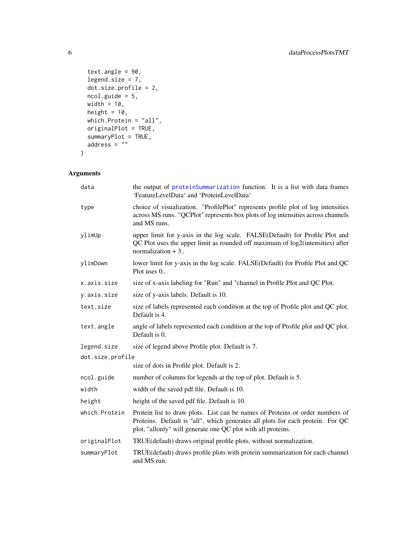```
text.angle = 90,
 legend.size = 7,
 dot.size.profile = 2,
 ncol.guide = 5,
 width = 10,
 height = 10,
 which.Protein = "all",
 originalPlot = TRUE,
  summaryPlot = TRUE,
 address = ""\mathcal{L}
```

| data             | the output of proteinSummarization function. It is a list with data frames<br>'FeatureLevelData' and 'ProteinLevelData'                                                                                                         |  |
|------------------|---------------------------------------------------------------------------------------------------------------------------------------------------------------------------------------------------------------------------------|--|
| type             | choice of visualization. "ProfilePlot" represents profile plot of log intensities<br>across MS runs. "QCPlot" represents box plots of log intensities across channels<br>and MS runs.                                           |  |
| ylimUp           | upper limit for y-axis in the log scale. FALSE(Default) for Profile Plot and<br>QC Plot uses the upper limit as rounded off maximum of log2(intensities) after<br>normalization $+3$ .                                          |  |
| ylimDown         | lower limit for y-axis in the log scale. FALSE(Default) for Profile Plot and QC<br>Plot uses $0$                                                                                                                                |  |
| x.axis.size      | size of x-axis labeling for "Run" and "channel in Profile Plot and QC Plot.                                                                                                                                                     |  |
| y.axis.size      | size of y-axis labels. Default is 10.                                                                                                                                                                                           |  |
| text.size        | size of labels represented each condition at the top of Profile plot and QC plot.<br>Default is 4.                                                                                                                              |  |
| text.angle       | angle of labels represented each condition at the top of Profile plot and QC plot.<br>Default is 0.                                                                                                                             |  |
| legend.size      | size of legend above Profile plot. Default is 7.                                                                                                                                                                                |  |
| dot.size.profile |                                                                                                                                                                                                                                 |  |
|                  | size of dots in Profile plot. Default is 2.                                                                                                                                                                                     |  |
| ncol.guide       | number of columns for legends at the top of plot. Default is 5.                                                                                                                                                                 |  |
| width            | width of the saved pdf file. Default is 10.                                                                                                                                                                                     |  |
| height           | height of the saved pdf file. Default is 10.                                                                                                                                                                                    |  |
| which.Protein    | Protein list to draw plots. List can be names of Proteins or order numbers of<br>Proteins. Default is "all", which generates all plots for each protein. For QC<br>plot, "allonly" will generate one QC plot with all proteins. |  |
| originalPlot     | TRUE(default) draws original profile plots, without normalization.                                                                                                                                                              |  |
| summaryPlot      | TRUE(default) draws profile plots with protein summarization for each channel<br>and MS run.                                                                                                                                    |  |

<span id="page-5-0"></span>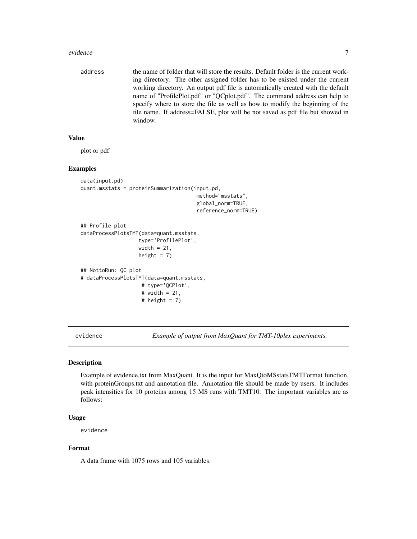#### <span id="page-6-0"></span>evidence **7** and 2008 *PH* and 2008 *PH* and 2008 *PH* and 2008 *PH* and 2008 *PH* and 2008 *PH* and 2008 *PH* and 2008 *PH* and 2008 *PH* and 2008 *PH* and 2008 *PH* and 2008 *PH* and 2008 *PH* a

address the name of folder that will store the results. Default folder is the current working directory. The other assigned folder has to be existed under the current working directory. An output pdf file is automatically created with the default name of "ProfilePlot.pdf" or "QCplot.pdf". The command address can help to specify where to store the file as well as how to modify the beginning of the file name. If address=FALSE, plot will be not saved as pdf file but showed in window.

#### Value

plot or pdf

#### Examples

```
data(input.pd)
quant.msstats = proteinSummarization(input.pd,
                                       method="msstats",
                                       global_norm=TRUE,
                                       reference_norm=TRUE)
## Profile plot
dataProcessPlotsTMT(data=quant.msstats,
                   type='ProfilePlot',
                   width = 21,
                   height = 7)
## NottoRun: QC plot
# dataProcessPlotsTMT(data=quant.msstats,
                    # type='QCPlot',
                    # width = 21,
                    # height = 7)
```
evidence *Example of output from MaxQuant for TMT-10plex experiments.*

#### Description

Example of evidence.txt from MaxQuant. It is the input for MaxQtoMSstatsTMTFormat function, with proteinGroups.txt and annotation file. Annotation file should be made by users. It includes peak intensities for 10 proteins among 15 MS runs with TMT10. The important variables are as follows:

#### Usage

evidence

#### Format

A data frame with 1075 rows and 105 variables.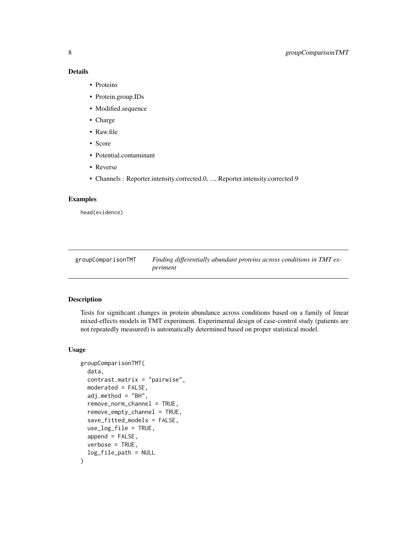#### Details

- Proteins
- Protein.group.IDs
- Modified.sequence
- Charge
- Raw.file
- Score
- Potential.contaminant
- Reverse
- Channels : Reporter.intensity.corrected.0, ..., Reporter.intensity.corrected.9

#### Examples

head(evidence)

<span id="page-7-1"></span>

| groupComparisonTMT | Finding differentially abundant proteins across conditions in TMT ex- |
|--------------------|-----------------------------------------------------------------------|
|                    | periment                                                              |

#### Description

Tests for significant changes in protein abundance across conditions based on a family of linear mixed-effects models in TMT experiment. Experimental design of case-control study (patients are not repeatedly measured) is automatically determined based on proper statistical model.

#### Usage

```
groupComparisonTMT(
  data,
  contrast.matrix = "pairwise",
  moderated = FALSE,
  adj.method = "BH",
  remove_norm_channel = TRUE,
  remove_empty_channel = TRUE,
  save_fitted_models = FALSE,
  use_log_file = TRUE,
  append = FALSE,verbose = TRUE,
  log_file_path = NULL
\mathcal{E}
```
<span id="page-7-0"></span>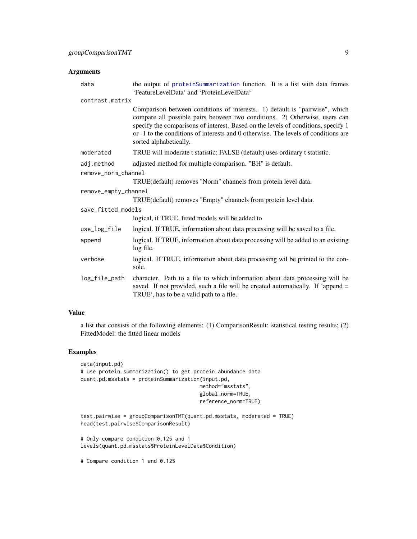#### <span id="page-8-0"></span>Arguments

| data                 | the output of proteinSummarization function. It is a list with data frames<br>'FeatureLevelData' and 'ProteinLevelData'                                                                                                                                                                                                                                        |  |
|----------------------|----------------------------------------------------------------------------------------------------------------------------------------------------------------------------------------------------------------------------------------------------------------------------------------------------------------------------------------------------------------|--|
| contrast.matrix      |                                                                                                                                                                                                                                                                                                                                                                |  |
|                      | Comparison between conditions of interests. 1) default is "pairwise", which<br>compare all possible pairs between two conditions. 2) Otherwise, users can<br>specify the comparisons of interest. Based on the levels of conditions, specify 1<br>or -1 to the conditions of interests and 0 otherwise. The levels of conditions are<br>sorted alphabetically. |  |
| moderated            | TRUE will moderate t statistic; FALSE (default) uses ordinary t statistic.                                                                                                                                                                                                                                                                                     |  |
| adj.method           | adjusted method for multiple comparison. "BH" is default.                                                                                                                                                                                                                                                                                                      |  |
| remove_norm_channel  |                                                                                                                                                                                                                                                                                                                                                                |  |
|                      | TRUE(default) removes "Norm" channels from protein level data.                                                                                                                                                                                                                                                                                                 |  |
| remove_empty_channel |                                                                                                                                                                                                                                                                                                                                                                |  |
|                      | TRUE(default) removes "Empty" channels from protein level data.                                                                                                                                                                                                                                                                                                |  |
| save_fitted_models   |                                                                                                                                                                                                                                                                                                                                                                |  |
|                      | logical, if TRUE, fitted models will be added to                                                                                                                                                                                                                                                                                                               |  |
| use_log_file         | logical. If TRUE, information about data processing will be saved to a file.                                                                                                                                                                                                                                                                                   |  |
| append               | logical. If TRUE, information about data processing will be added to an existing<br>log file.                                                                                                                                                                                                                                                                  |  |
| verbose              | logical. If TRUE, information about data processing wil be printed to the con-<br>sole.                                                                                                                                                                                                                                                                        |  |
| log_file_path        | character. Path to a file to which information about data processing will be<br>saved. If not provided, such a file will be created automatically. If 'append =<br>TRUE <sup>'</sup> , has to be a valid path to a file.                                                                                                                                       |  |

#### Value

a list that consists of the following elements: (1) ComparisonResult: statistical testing results; (2) FittedModel: the fitted linear models

#### Examples

```
data(input.pd)
# use protein.summarization() to get protein abundance data
quant.pd.msstats = proteinSummarization(input.pd,
                                       method="msstats",
                                       global_norm=TRUE,
                                      reference_norm=TRUE)
test.pairwise = groupComparisonTMT(quant.pd.msstats, moderated = TRUE)
head(test.pairwise$ComparisonResult)
# Only compare condition 0.125 and 1
levels(quant.pd.msstats$ProteinLevelData$Condition)
# Compare condition 1 and 0.125
```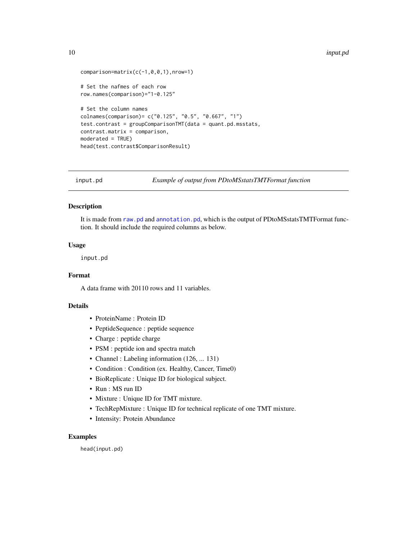```
comparison=matrix(c(-1,0,0,1),nrow=1)
# Set the nafmes of each row
row.names(comparison)="1-0.125"
# Set the column names
colnames(comparison)= c("0.125", "0.5", "0.667", "1")
test.contrast = groupComparisonTMT(data = quant.pd.msstats,
contrast.matrix = comparison,
moderated = TRUE)
head(test.contrast$ComparisonResult)
```
input.pd *Example of output from PDtoMSstatsTMTFormat function*

#### Description

It is made from [raw.pd](#page-21-1) and [annotation.pd](#page-3-1), which is the output of PDtoMSstatsTMTFormat function. It should include the required columns as below.

#### Usage

input.pd

#### Format

A data frame with 20110 rows and 11 variables.

#### Details

- ProteinName : Protein ID
- PeptideSequence : peptide sequence
- Charge : peptide charge
- PSM : peptide ion and spectra match
- Channel : Labeling information (126, ... 131)
- Condition : Condition (ex. Healthy, Cancer, Time0)
- BioReplicate : Unique ID for biological subject.
- Run : MS run ID
- Mixture : Unique ID for TMT mixture.
- TechRepMixture : Unique ID for technical replicate of one TMT mixture.
- Intensity: Protein Abundance

#### Examples

head(input.pd)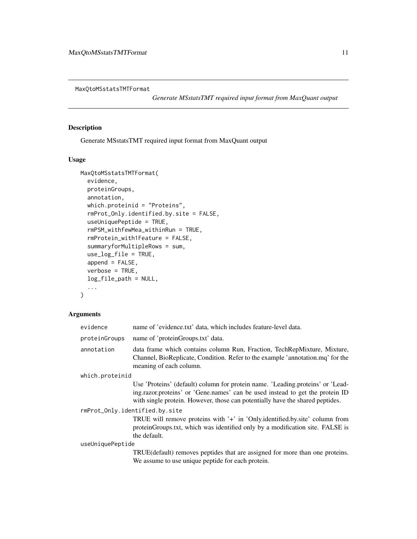<span id="page-10-1"></span><span id="page-10-0"></span>MaxQtoMSstatsTMTFormat

*Generate MSstatsTMT required input format from MaxQuant output*

#### Description

Generate MSstatsTMT required input format from MaxQuant output

#### Usage

```
MaxQtoMSstatsTMTFormat(
  evidence,
 proteinGroups,
  annotation,
 which.proteinid = "Proteins",
  rmProt_Only.identified.by.site = FALSE,
  useUniquePeptide = TRUE,
  rmPSM_withfewMea_withinRun = TRUE,
  rmProtein_with1Feature = FALSE,
  summaryforMultipleRows = sum,
  use_log_file = TRUE,
  append = FALSE,
  verbose = TRUE,
  log_file_path = NULL,
  ...
)
```

| evidence                       | name of 'evidence.txt' data, which includes feature-level data.                                                                                                                                                                                  |  |
|--------------------------------|--------------------------------------------------------------------------------------------------------------------------------------------------------------------------------------------------------------------------------------------------|--|
| proteinGroups                  | name of 'proteinGroups.txt' data.                                                                                                                                                                                                                |  |
| annotation                     | data frame which contains column Run, Fraction, TechRepMixture, Mixture,<br>Channel, BioReplicate, Condition. Refer to the example 'annotation.mq' for the<br>meaning of each column.                                                            |  |
| which.proteinid                |                                                                                                                                                                                                                                                  |  |
|                                | Use 'Proteins' (default) column for protein name. 'Leading.proteins' or 'Lead-<br>ing.razor.proteins' or 'Gene.names' can be used instead to get the protein ID<br>with single protein. However, those can potentially have the shared peptides. |  |
| rmProt_Only.identified.by.site |                                                                                                                                                                                                                                                  |  |
|                                | TRUE will remove proteins with '+' in 'Only.identified.by.site' column from<br>proteinGroups.txt, which was identified only by a modification site. FALSE is<br>the default.                                                                     |  |
| useUniquePeptide               |                                                                                                                                                                                                                                                  |  |
|                                | TRUE(default) removes peptides that are assigned for more than one proteins.<br>We assume to use unique peptide for each protein.                                                                                                                |  |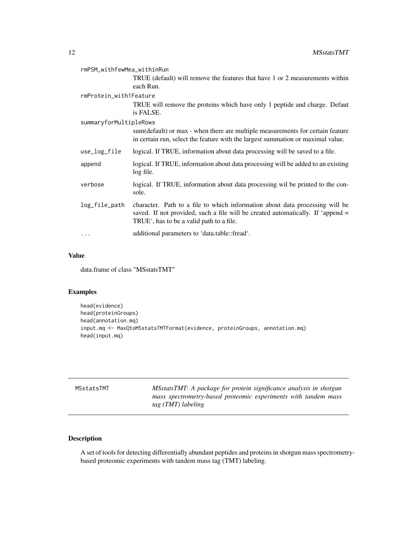<span id="page-11-0"></span>

| rmPSM_withfewMea_withinRun |                                                                                                                                                                                                                          |  |
|----------------------------|--------------------------------------------------------------------------------------------------------------------------------------------------------------------------------------------------------------------------|--|
|                            | TRUE (default) will remove the features that have 1 or 2 measurements within<br>each Run.                                                                                                                                |  |
| rmProtein_with1Feature     |                                                                                                                                                                                                                          |  |
|                            | TRUE will remove the proteins which have only 1 peptide and charge. Defaut<br>is FALSE.                                                                                                                                  |  |
| summaryforMultipleRows     |                                                                                                                                                                                                                          |  |
|                            | sum (default) or max - when there are multiple measurements for certain feature<br>in certain run, select the feature with the largest summation or maximal value.                                                       |  |
| use_log_file               | logical. If TRUE, information about data processing will be saved to a file.                                                                                                                                             |  |
| append                     | logical. If TRUE, information about data processing will be added to an existing<br>log file.                                                                                                                            |  |
| verbose                    | logical. If TRUE, information about data processing wil be printed to the con-<br>sole.                                                                                                                                  |  |
| log_file_path              | character. Path to a file to which information about data processing will be<br>saved. If not provided, such a file will be created automatically. If 'append =<br>TRUE <sup>*</sup> , has to be a valid path to a file. |  |
| .                          | additional parameters to 'data.table::fread'.                                                                                                                                                                            |  |

#### Value

data.frame of class "MSstatsTMT"

#### Examples

```
head(evidence)
head(proteinGroups)
head(annotation.mq)
input.mq <- MaxQtoMSstatsTMTFormat(evidence, proteinGroups, annotation.mq)
head(input.mq)
```
MSstatsTMT *MSstatsTMT: A package for protein significance analysis in shotgun mass spectrometry-based proteomic experiments with tandem mass tag (TMT) labeling*

#### Description

A set of tools for detecting differentially abundant peptides and proteins in shotgun mass spectrometrybased proteomic experiments with tandem mass tag (TMT) labeling.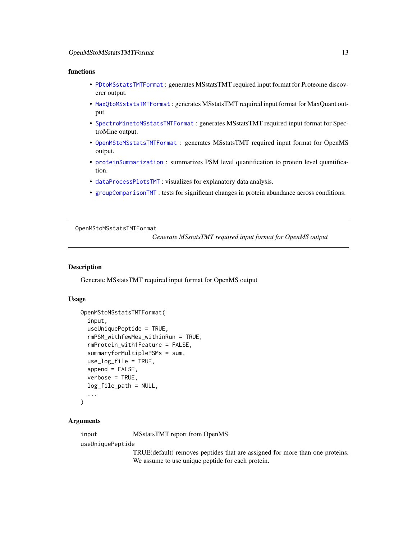#### <span id="page-12-0"></span>OpenMStoMSstatsTMTFormat 13

#### functions

- [PDtoMSstatsTMTFormat](#page-13-1) : generates MSstatsTMT required input format for Proteome discoverer output.
- [MaxQtoMSstatsTMTFormat](#page-10-1) : generates MSstatsTMT required input format for MaxQuant output.
- [SpectroMinetoMSstatsTMTFormat](#page-22-1) : generates MSstatsTMT required input format for SpectroMine output.
- [OpenMStoMSstatsTMTFormat](#page-12-1) : generates MSstatsTMT required input format for OpenMS output.
- [proteinSummarization](#page-17-1) : summarizes PSM level quantification to protein level quantification.
- [dataProcessPlotsTMT](#page-4-1) : visualizes for explanatory data analysis.
- [groupComparisonTMT](#page-7-1) : tests for significant changes in protein abundance across conditions.

<span id="page-12-1"></span>OpenMStoMSstatsTMTFormat

*Generate MSstatsTMT required input format for OpenMS output*

#### **Description**

Generate MSstatsTMT required input format for OpenMS output

#### Usage

```
OpenMStoMSstatsTMTFormat(
  input,
  useUniquePeptide = TRUE,
  rmPSM_withfewMea_withinRun = TRUE,
  rmProtein_with1Feature = FALSE,
  summaryforMultiplePSMs = sum,
  use_log_file = TRUE,
  append = FALSE,verbose = TRUE,
  log_file_path = NULL,
  ...
)
```
#### Arguments

input MSstatsTMT report from OpenMS

useUniquePeptide

TRUE(default) removes peptides that are assigned for more than one proteins. We assume to use unique peptide for each protein.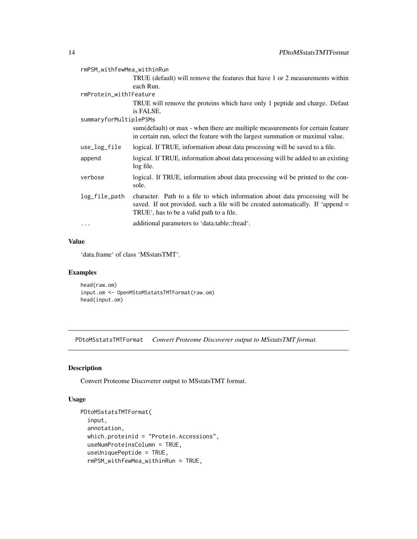<span id="page-13-0"></span>

| rmPSM_withfewMea_withinRun |                                                                                                                                                                                                                          |  |
|----------------------------|--------------------------------------------------------------------------------------------------------------------------------------------------------------------------------------------------------------------------|--|
|                            | TRUE (default) will remove the features that have 1 or 2 measurements within                                                                                                                                             |  |
|                            | each Run.                                                                                                                                                                                                                |  |
| rmProtein_with1Feature     |                                                                                                                                                                                                                          |  |
|                            | TRUE will remove the proteins which have only 1 peptide and charge. Defaut                                                                                                                                               |  |
|                            | is FALSE.                                                                                                                                                                                                                |  |
| summaryforMultiplePSMs     |                                                                                                                                                                                                                          |  |
|                            | sum (default) or max - when there are multiple measurements for certain feature<br>in certain run, select the feature with the largest summation or maximal value.                                                       |  |
| use_log_file               | logical. If TRUE, information about data processing will be saved to a file.                                                                                                                                             |  |
| append                     | logical. If TRUE, information about data processing will be added to an existing<br>log file.                                                                                                                            |  |
| verbose                    | logical. If TRUE, information about data processing wil be printed to the con-<br>sole.                                                                                                                                  |  |
| log_file_path              | character. Path to a file to which information about data processing will be<br>saved. If not provided, such a file will be created automatically. If 'append =<br>TRUE <sup>*</sup> , has to be a valid path to a file. |  |
| .                          | additional parameters to 'data.table::fread'.                                                                                                                                                                            |  |

#### Value

'data.frame' of class 'MSstatsTMT'.

#### Examples

```
head(raw.om)
input.om <- OpenMStoMSstatsTMTFormat(raw.om)
head(input.om)
```
<span id="page-13-1"></span>PDtoMSstatsTMTFormat *Convert Proteome Discoverer output to MSstatsTMT format.*

#### Description

Convert Proteome Discoverer output to MSstatsTMT format.

#### Usage

```
PDtoMSstatsTMTFormat(
  input,
  annotation,
 which.proteinid = "Protein.Accessions",
 useNumProteinsColumn = TRUE,
  useUniquePeptide = TRUE,
  rmPSM_withfewMea_withinRun = TRUE,
```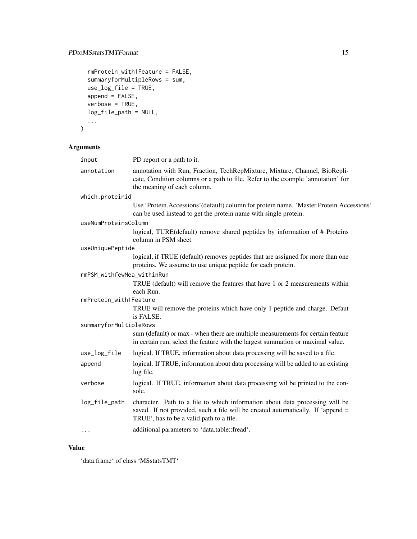#### PDtoMSstatsTMTFormat 15

```
rmProtein_with1Feature = FALSE,
  summaryforMultipleRows = sum,
 use_log_file = TRUE,
  append = FALSE,
 verbose = TRUE,
  log_file_path = NULL,
  ...
\mathcal{L}
```
### Arguments

| input                      | PD report or a path to it.                                                                                                                                                                                               |
|----------------------------|--------------------------------------------------------------------------------------------------------------------------------------------------------------------------------------------------------------------------|
| annotation                 | annotation with Run, Fraction, TechRepMixture, Mixture, Channel, BioRepli-<br>cate, Condition columns or a path to file. Refer to the example 'annotation' for<br>the meaning of each column.                            |
| which.proteinid            |                                                                                                                                                                                                                          |
|                            | Use 'Protein. Accessions' (default) column for protein name. 'Master. Protein. Accessions'<br>can be used instead to get the protein name with single protein.                                                           |
| useNumProteinsColumn       |                                                                                                                                                                                                                          |
|                            | logical, TURE(default) remove shared peptides by information of # Proteins<br>column in PSM sheet.                                                                                                                       |
| useUniquePeptide           |                                                                                                                                                                                                                          |
|                            | logical, if TRUE (default) removes peptides that are assigned for more than one<br>proteins. We assume to use unique peptide for each protein.                                                                           |
| rmPSM_withfewMea_withinRun |                                                                                                                                                                                                                          |
|                            | TRUE (default) will remove the features that have 1 or 2 measurements within<br>each Run.                                                                                                                                |
| rmProtein_with1Feature     |                                                                                                                                                                                                                          |
|                            | TRUE will remove the proteins which have only 1 peptide and charge. Defaut<br>is FALSE.                                                                                                                                  |
| summaryforMultipleRows     |                                                                                                                                                                                                                          |
|                            | sum (default) or max - when there are multiple measurements for certain feature<br>in certain run, select the feature with the largest summation or maximal value.                                                       |
| use_log_file               | logical. If TRUE, information about data processing will be saved to a file.                                                                                                                                             |
| append                     | logical. If TRUE, information about data processing will be added to an existing<br>log file.                                                                                                                            |
| verbose                    | logical. If TRUE, information about data processing wil be printed to the con-<br>sole.                                                                                                                                  |
| log_file_path              | character. Path to a file to which information about data processing will be<br>saved. If not provided, such a file will be created automatically. If 'append =<br>TRUE <sup>*</sup> , has to be a valid path to a file. |
| $\cdots$                   | additional parameters to 'data.table::fread'.                                                                                                                                                                            |
|                            |                                                                                                                                                                                                                          |

#### Value

'data.frame' of class 'MSstatsTMT'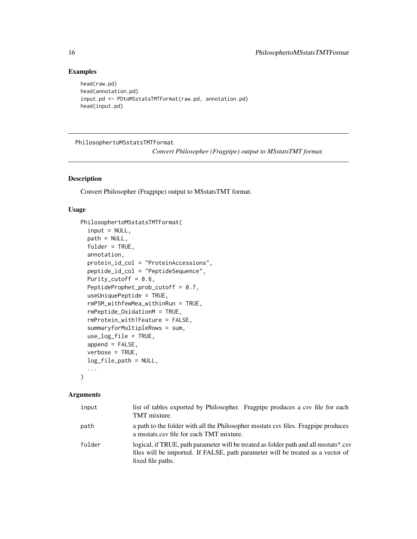#### Examples

```
head(raw.pd)
head(annotation.pd)
input.pd <- PDtoMSstatsTMTFormat(raw.pd, annotation.pd)
head(input.pd)
```
PhilosophertoMSstatsTMTFormat

*Convert Philosopher (Fragpipe) output to MSstatsTMT format.*

#### Description

Convert Philosopher (Fragpipe) output to MSstatsTMT format.

#### Usage

```
PhilosophertoMSstatsTMTFormat(
  input = NULL,path = NULL,
  folder = TRUE,
  annotation,
  protein_id_col = "ProteinAccessions",
  peptide_id_col = "PeptideSequence",
  Purity_cutoff = 0.6,
  PeptideProphet_prob_cutoff = 0.7,
  useUniquePeptide = TRUE,
  rmPSM_withfewMea_withinRun = TRUE,
  rmPeptide_OxidationM = TRUE,
  rmProtein_with1Feature = FALSE,
  summaryforMultipleRows = sum,
  use_log_file = TRUE,
  append = FALSE,verbose = TRUE,
  log_file_path = NULL,
  ...
\mathcal{L}
```

| input  | list of tables exported by Philosopher. Fragpipe produces a csv file for each<br>TMT mixture.                                                                                                |
|--------|----------------------------------------------------------------------------------------------------------------------------------------------------------------------------------------------|
| path   | a path to the folder with all the Philosopher misstats csy files. Fragpipe produces<br>a msstats.csv file for each TMT mixture.                                                              |
| folder | logical, if TRUE, path parameter will be treated as folder path and all msstats*.csv<br>files will be imported. If FALSE, path parameter will be treated as a vector of<br>fixed file paths. |

<span id="page-15-0"></span>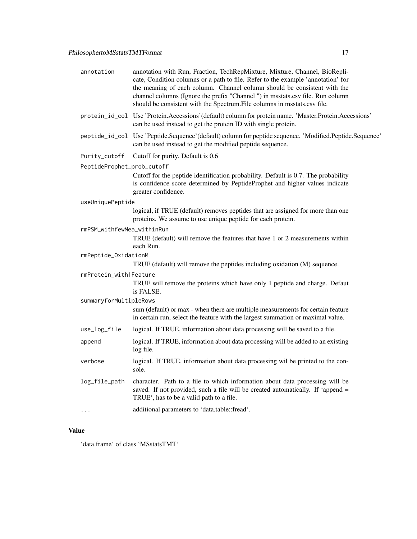| annotation                 | annotation with Run, Fraction, TechRepMixture, Mixture, Channel, BioRepli-<br>cate, Condition columns or a path to file. Refer to the example 'annotation' for<br>the meaning of each column. Channel column should be consistent with the<br>channel columns (Ignore the prefix "Channel ") in msstats.csv file. Run column<br>should be consistent with the Spectrum. File columns in msstats.csv file. |  |
|----------------------------|-----------------------------------------------------------------------------------------------------------------------------------------------------------------------------------------------------------------------------------------------------------------------------------------------------------------------------------------------------------------------------------------------------------|--|
|                            | protein_id_col Use 'Protein.Accessions'(default) column for protein name. 'Master.Protein.Accessions'<br>can be used instead to get the protein ID with single protein.                                                                                                                                                                                                                                   |  |
|                            | peptide_id_col Use 'Peptide.Sequence' (default) column for peptide sequence. 'Modified.Peptide.Sequence'<br>can be used instead to get the modified peptide sequence.                                                                                                                                                                                                                                     |  |
| Purity_cutoff              | Cutoff for purity. Default is 0.6                                                                                                                                                                                                                                                                                                                                                                         |  |
| PeptideProphet_prob_cutoff |                                                                                                                                                                                                                                                                                                                                                                                                           |  |
|                            | Cutoff for the peptide identification probability. Default is 0.7. The probability<br>is confidence score determined by PeptideProphet and higher values indicate<br>greater confidence.                                                                                                                                                                                                                  |  |
| useUniquePeptide           |                                                                                                                                                                                                                                                                                                                                                                                                           |  |
|                            | logical, if TRUE (default) removes peptides that are assigned for more than one<br>proteins. We assume to use unique peptide for each protein.                                                                                                                                                                                                                                                            |  |
| rmPSM_withfewMea_withinRun |                                                                                                                                                                                                                                                                                                                                                                                                           |  |
|                            | TRUE (default) will remove the features that have 1 or 2 measurements within<br>each Run.                                                                                                                                                                                                                                                                                                                 |  |
| rmPeptide_OxidationM       |                                                                                                                                                                                                                                                                                                                                                                                                           |  |
|                            | TRUE (default) will remove the peptides including oxidation (M) sequence.                                                                                                                                                                                                                                                                                                                                 |  |
| rmProtein_with1Feature     |                                                                                                                                                                                                                                                                                                                                                                                                           |  |
|                            | TRUE will remove the proteins which have only 1 peptide and charge. Defaut<br>is FALSE.                                                                                                                                                                                                                                                                                                                   |  |
| summaryforMultipleRows     |                                                                                                                                                                                                                                                                                                                                                                                                           |  |
|                            | sum (default) or max - when there are multiple measurements for certain feature<br>in certain run, select the feature with the largest summation or maximal value.                                                                                                                                                                                                                                        |  |
| use_log_file               | logical. If TRUE, information about data processing will be saved to a file.                                                                                                                                                                                                                                                                                                                              |  |
| append                     | logical. If TRUE, information about data processing will be added to an existing<br>log file.                                                                                                                                                                                                                                                                                                             |  |
| verbose                    | logical. If TRUE, information about data processing wil be printed to the con-<br>sole.                                                                                                                                                                                                                                                                                                                   |  |
| log_file_path              | character. Path to a file to which information about data processing will be<br>saved. If not provided, such a file will be created automatically. If 'append =<br>TRUE <sup>*</sup> , has to be a valid path to a file.                                                                                                                                                                                  |  |
| $\cdots$                   | additional parameters to 'data.table::fread'.                                                                                                                                                                                                                                                                                                                                                             |  |
|                            |                                                                                                                                                                                                                                                                                                                                                                                                           |  |

#### Value

'data.frame' of class 'MSstatsTMT'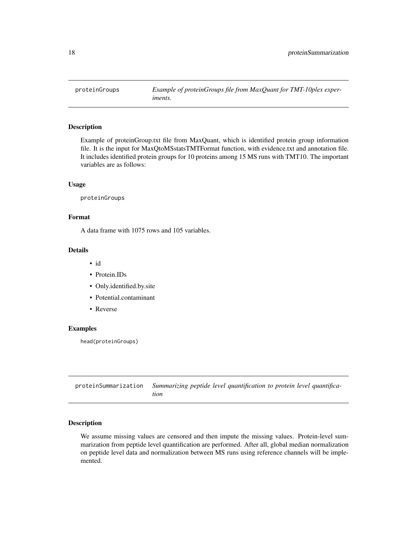<span id="page-17-0"></span>

#### Description

Example of proteinGroup.txt file from MaxQuant, which is identified protein group information file. It is the input for MaxQtoMSstatsTMTFormat function, with evidence.txt and annotation file. It includes identified protein groups for 10 proteins among 15 MS runs with TMT10. The important variables are as follows:

#### Usage

proteinGroups

#### Format

A data frame with 1075 rows and 105 variables.

#### Details

- id
- Protein.IDs
- Only.identified.by.site
- Potential.contaminant
- Reverse

#### Examples

head(proteinGroups)

<span id="page-17-1"></span>proteinSummarization *Summarizing peptide level quantification to protein level quantification*

#### Description

We assume missing values are censored and then impute the missing values. Protein-level summarization from peptide level quantification are performed. After all, global median normalization on peptide level data and normalization between MS runs using reference channels will be implemented.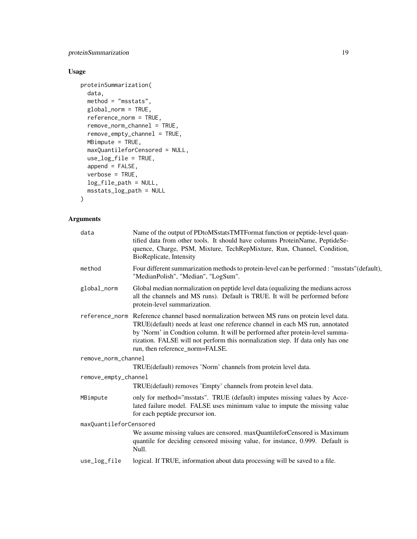proteinSummarization 19

#### Usage

```
proteinSummarization(
  data,
 method = "msstats",
 global_norm = TRUE,
 reference_norm = TRUE,
  remove_norm_channel = TRUE,
  remove_empty_channel = TRUE,
 MBimpute = TRUE,
 maxQuantileforCensored = NULL,
 use_log_file = TRUE,
  append = FALSE,verbose = TRUE,
 log_file_path = NULL,
 msstats_log_path = NULL
\mathcal{L}
```

| data                   | Name of the output of PDtoMSstatsTMTFormat function or peptide-level quan-<br>tified data from other tools. It should have columns ProteinName, PeptideSe-<br>quence, Charge, PSM, Mixture, TechRepMixture, Run, Channel, Condition,                                                                                                                                              |
|------------------------|-----------------------------------------------------------------------------------------------------------------------------------------------------------------------------------------------------------------------------------------------------------------------------------------------------------------------------------------------------------------------------------|
|                        | BioReplicate, Intensity                                                                                                                                                                                                                                                                                                                                                           |
| method                 | Four different summarization methods to protein-level can be performed : "msstats"(default),<br>"MedianPolish", "Median", "LogSum".                                                                                                                                                                                                                                               |
| global_norm            | Global median normalization on peptide level data (equalizing the medians across<br>all the channels and MS runs). Default is TRUE. It will be performed before<br>protein-level summarization.                                                                                                                                                                                   |
|                        | reference_norm Reference channel based normalization between MS runs on protein level data.<br>TRUE(default) needs at least one reference channel in each MS run, annotated<br>by 'Norm' in Condtion column. It will be performed after protein-level summa-<br>rization. FALSE will not perform this normalization step. If data only has one<br>run, then reference_norm=FALSE. |
| remove_norm_channel    |                                                                                                                                                                                                                                                                                                                                                                                   |
|                        | TRUE(default) removes 'Norm' channels from protein level data.                                                                                                                                                                                                                                                                                                                    |
| remove_empty_channel   |                                                                                                                                                                                                                                                                                                                                                                                   |
|                        | TRUE(default) removes 'Empty' channels from protein level data.                                                                                                                                                                                                                                                                                                                   |
| MBimpute               | only for method="msstats". TRUE (default) imputes missing values by Acce-<br>lated failure model. FALSE uses minimum value to impute the missing value<br>for each peptide precursor ion.                                                                                                                                                                                         |
| maxQuantileforCensored |                                                                                                                                                                                                                                                                                                                                                                                   |
|                        | We assume missing values are censored. maxQuantileforCensored is Maximum<br>quantile for deciding censored missing value, for instance, 0.999. Default is<br>Null.                                                                                                                                                                                                                |
| use_log_file           | logical. If TRUE, information about data processing will be saved to a file.                                                                                                                                                                                                                                                                                                      |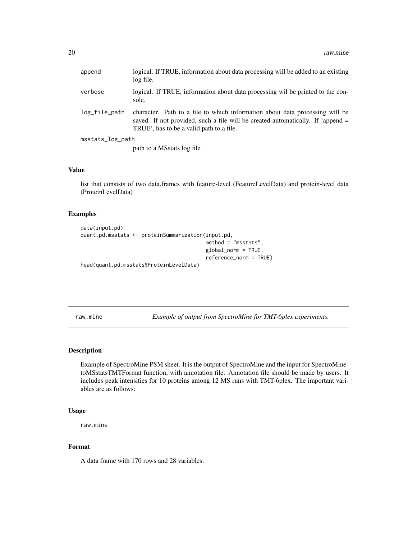<span id="page-19-0"></span>

| append           | logical. If TRUE, information about data processing will be added to an existing<br>log file.                                                                                                               |  |
|------------------|-------------------------------------------------------------------------------------------------------------------------------------------------------------------------------------------------------------|--|
| verbose          | logical. If TRUE, information about data processing wil be printed to the con-<br>sole.                                                                                                                     |  |
| log_file_path    | character. Path to a file to which information about data processing will be<br>saved. If not provided, such a file will be created automatically. If 'append =<br>TRUE', has to be a valid path to a file. |  |
| msstats_log_path |                                                                                                                                                                                                             |  |
|                  | path to a MSstats log file                                                                                                                                                                                  |  |

#### Value

list that consists of two data.frames with feature-level (FeatureLevelData) and protein-level data (ProteinLevelData)

#### Examples

```
data(input.pd)
quant.pd.msstats <- proteinSummarization(input.pd,
                                         method = "msstats",
                                         global_norm = TRUE,
                                         reference_norm = TRUE)
head(quant.pd.msstats$ProteinLevelData)
```
raw.mine *Example of output from SpectroMine for TMT-6plex experiments.*

#### Description

Example of SpectroMine PSM sheet. It is the output of SpectroMine and the input for SpectroMinetoMSstatsTMTFormat function, with annotation file. Annotation file should be made by users. It includes peak intensities for 10 proteins among 12 MS runs with TMT-6plex. The important variables are as follows:

#### Usage

raw.mine

#### Format

A data frame with 170 rows and 28 variables.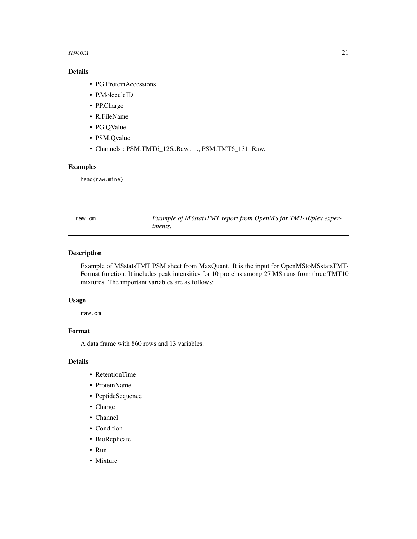#### <span id="page-20-0"></span>raw.om 21

#### Details

- PG.ProteinAccessions
- P.MoleculeID
- PP.Charge
- R.FileName
- PG.QValue
- PSM.Qvalue
- Channels : PSM.TMT6\_126..Raw., ..., PSM.TMT6\_131..Raw.

#### Examples

head(raw.mine)

raw.om *Example of MSstatsTMT report from OpenMS for TMT-10plex experiments.*

#### Description

Example of MSstatsTMT PSM sheet from MaxQuant. It is the input for OpenMStoMSstatsTMT-Format function. It includes peak intensities for 10 proteins among 27 MS runs from three TMT10 mixtures. The important variables are as follows:

#### Usage

raw.om

#### Format

A data frame with 860 rows and 13 variables.

#### Details

- RetentionTime
- ProteinName
- PeptideSequence
- Charge
- Channel
- Condition
- BioReplicate
- Run
- Mixture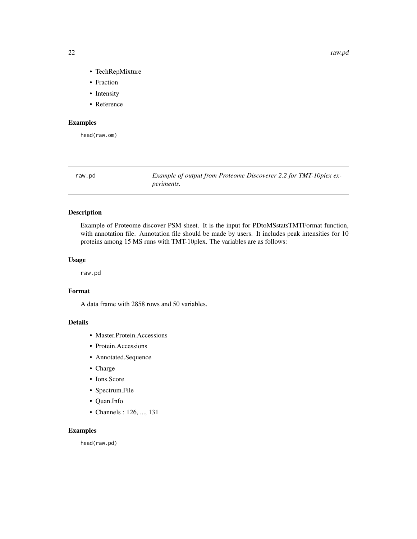- TechRepMixture
- Fraction
- Intensity
- Reference

#### Examples

head(raw.om)

<span id="page-21-1"></span>raw.pd *Example of output from Proteome Discoverer 2.2 for TMT-10plex experiments.*

#### Description

Example of Proteome discover PSM sheet. It is the input for PDtoMSstatsTMTFormat function, with annotation file. Annotation file should be made by users. It includes peak intensities for 10 proteins among 15 MS runs with TMT-10plex. The variables are as follows:

#### Usage

raw.pd

#### Format

A data frame with 2858 rows and 50 variables.

#### Details

- Master.Protein.Accessions
- Protein.Accessions
- Annotated.Sequence
- Charge
- Ions.Score
- Spectrum.File
- Quan.Info
- Channels : 126, ..., 131

#### Examples

head(raw.pd)

<span id="page-21-0"></span>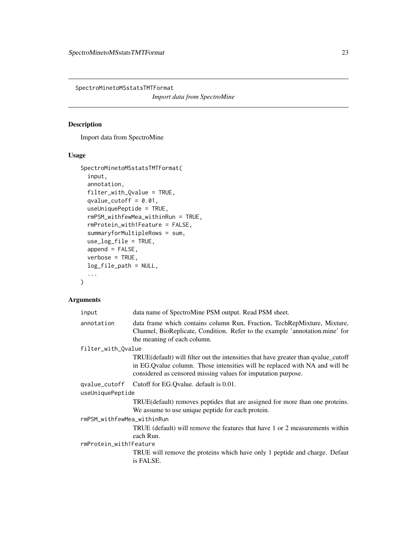<span id="page-22-1"></span><span id="page-22-0"></span>SpectroMinetoMSstatsTMTFormat

*Import data from SpectroMine*

#### Description

Import data from SpectroMine

#### Usage

```
SpectroMinetoMSstatsTMTFormat(
  input,
  annotation,
  filter_with_Qvalue = TRUE,
  qvalue_cutoff = 0.01,
  useUniquePeptide = TRUE,
  rmPSM_withfewMea_withinRun = TRUE,
  rmProtein_with1Feature = FALSE,
  summaryforMultipleRows = sum,
 use_log_file = TRUE,
  append = FALSE,verbose = TRUE,
 log_file_path = NULL,
  ...
\mathcal{L}
```

| input                      | data name of SpectroMine PSM output. Read PSM sheet.                                                                                                                                                                                 |  |
|----------------------------|--------------------------------------------------------------------------------------------------------------------------------------------------------------------------------------------------------------------------------------|--|
| annotation                 | data frame which contains column Run, Fraction, TechRepMixture, Mixture,<br>Channel, BioReplicate, Condition. Refer to the example 'annotation.mine' for<br>the meaning of each column.                                              |  |
| filter_with_Qvalue         |                                                                                                                                                                                                                                      |  |
|                            | TRUE (default) will filter out the intensities that have greater than qualue cutoff<br>in EG. Qvalue column. Those intensities will be replaced with NA and will be<br>considered as censored missing values for imputation purpose. |  |
|                            | qvalue_cutoff Cutoff for EG.Qvalue. default is 0.01.                                                                                                                                                                                 |  |
| useUniquePeptide           |                                                                                                                                                                                                                                      |  |
|                            | TRUE (default) removes peptides that are assigned for more than one proteins.<br>We assume to use unique peptide for each protein.                                                                                                   |  |
| rmPSM_withfewMea_withinRun |                                                                                                                                                                                                                                      |  |
|                            | TRUE (default) will remove the features that have 1 or 2 measurements within<br>each Run.                                                                                                                                            |  |
| rmProtein_with1Feature     |                                                                                                                                                                                                                                      |  |
|                            | TRUE will remove the proteins which have only 1 peptide and charge. Defaut<br>is FALSE.                                                                                                                                              |  |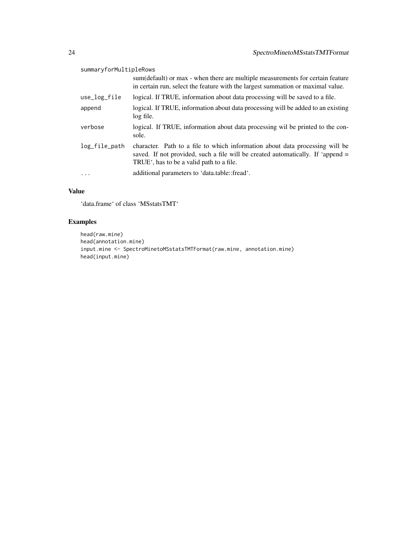#### summaryforMultipleRows

|               | sum (default) or max - when there are multiple measurements for certain feature<br>in certain run, select the feature with the largest summation or maximal value.                                                       |
|---------------|--------------------------------------------------------------------------------------------------------------------------------------------------------------------------------------------------------------------------|
| use_log_file  | logical. If TRUE, information about data processing will be saved to a file.                                                                                                                                             |
| append        | logical. If TRUE, information about data processing will be added to an existing<br>log file.                                                                                                                            |
| verbose       | logical. If TRUE, information about data processing wil be printed to the con-<br>sole.                                                                                                                                  |
| log_file_path | character. Path to a file to which information about data processing will be<br>saved. If not provided, such a file will be created automatically. If 'append =<br>TRUE <sup>*</sup> , has to be a valid path to a file. |
| $\ddots$      | additional parameters to 'data.table::fread'.                                                                                                                                                                            |

#### Value

'data.frame' of class 'MSstatsTMT'

#### Examples

```
head(raw.mine)
head(annotation.mine)
input.mine <- SpectroMinetoMSstatsTMTFormat(raw.mine, annotation.mine)
head(input.mine)
```